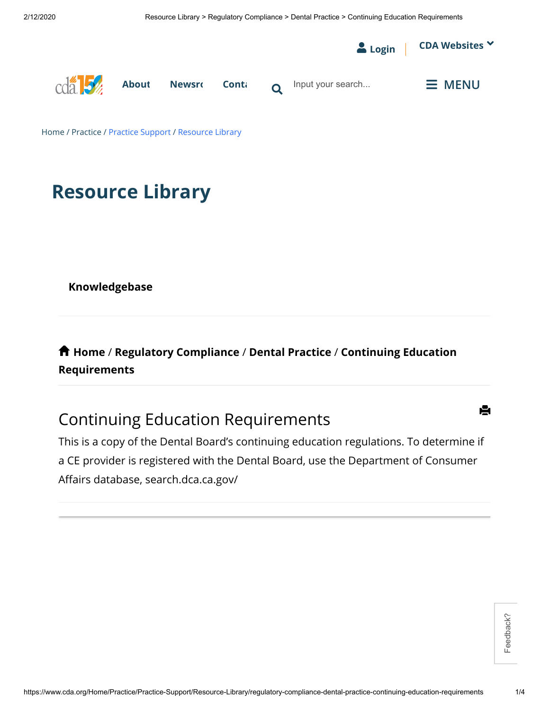

## **Resource Library**

**[Knowledgebase](https://www.cda.org/Home/Practice/Practice-Support/Resource-Library)**

 **[Home](https://www.cda.org/Home/Practice/Practice-Support/Resource-Library)** / **[R](https://www.cda.org/Home/Practice/Practice-Support/Resource-Library/regulatory-compliance-dental-practice-continuing-education-requirements)[egulatory Compliance](https://www.cda.org/Home/Practice/Practice-Support/Resource-Library/regulatory-compliance)** / **[Dental Practice](https://www.cda.org/Home/Practice/Practice-Support/Resource-Library/regulatory-compliance-dental-practice)** / **Continuing Education Requirements**

## Continuing Education Requirements

This is a copy of the Dental Board's continuing education regulations. To determine if a CE provider is registered with the Dental Board, use the Department of Consumer Affairs database, search.dca.ca.gov/

Feedback?

Ĥ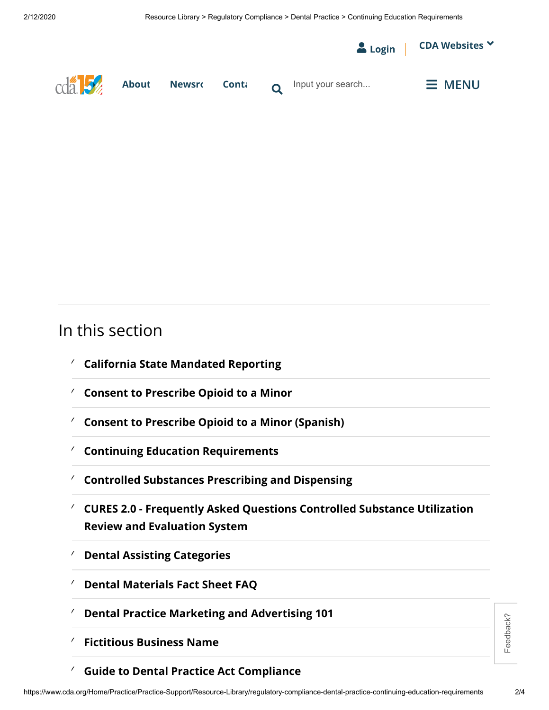

## In this section

- ✓ **[California State Mandated Reporting](https://www.cda.org/Home/Practice/Practice-Support/Resource-Library/regulatory-compliance-dental-practice-california-state-mandated-reporting)**
- ✓ **[Consent to Prescribe Opioid to a Minor](https://www.cda.org/Home/Practice/Practice-Support/Resource-Library/regulatory-compliance-dental-practice-consent-to-prescribe-opioid-to-a-minor)**
- ✓ **[Consent to Prescribe Opioid to a Minor \(Spanish\)](https://www.cda.org/Home/Practice/Practice-Support/Resource-Library/regulatory-compliance-dental-practice-consent-to-prescribe-opioid-to-a-minor-spanish)**
- ✓ **[Continuing Education Requirements](https://www.cda.org/Home/Practice/Practice-Support/Resource-Library/regulatory-compliance-dental-practice-continuing-education-requirements)**
- ✓ **[Controlled Substances Prescribing and Dispensing](https://www.cda.org/Home/Practice/Practice-Support/Resource-Library/regulatory-compliance-dental-practice-controlled-substances-prescribing-and-dispensing)**
- **[CURES 2.0 Frequently Asked Questions Controlled Substance Utilization](https://www.cda.org/Home/Practice/Practice-Support/Resource-Library/regulatory-compliance-dental-practice-cures-20-frequently-asked-questions-controlled-substance-utilization-review-and-evaluation-system)** ✓ **Review and Evaluation System**
- ✓ **[Dental Assisting Categories](https://www.cda.org/Home/Practice/Practice-Support/Resource-Library/regulatory-compliance-dental-practice-dental-assisting-categories)**
- ✓ **[Dental Materials Fact Sheet FAQ](https://www.cda.org/Home/Practice/Practice-Support/Resource-Library/regulatory-compliance-dental-practice-dental-materials-fact-sheet-faq)**
- ✓ **[Dental Practice Marketing and Advertising 101](https://www.cda.org/Home/Practice/Practice-Support/Resource-Library/regulatory-compliance-dental-practice-dental-practice-marketing-and-advertising-101)**
- ✓ **[Fictitious Business Name](https://www.cda.org/Home/Practice/Practice-Support/Resource-Library/regulatory-compliance-dental-practice-fictitious-business-name)**
- ✓ **[Guide to Dental Practice Act Compliance](https://www.cda.org/Home/Practice/Practice-Support/Resource-Library/regulatory-compliance-dental-practice-guide-to-dental-practice-act-compliance)**

Feedback?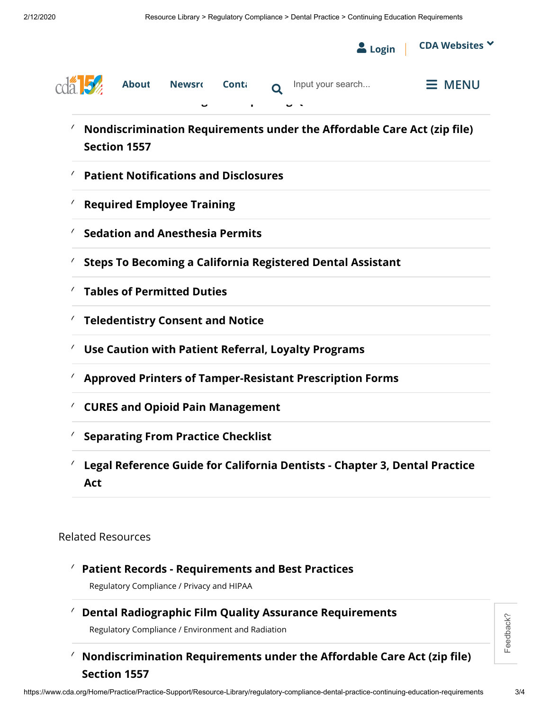

## **[Patient Records - Requirements and Best Practices](https://www.cda.org/Home/Practice/Practice-Support/Resource-Library/regulatory-compliance-privacy-and-hipaa-patient-records-requirements-and-best-practices)** ✓

Regulatory Compliance / Privacy and HIPAA

**[Dental Radiographic Film Quality Assurance Requirements](https://www.cda.org/Home/Practice/Practice-Support/Resource-Library/regulatory-compliance-dental-practice-dental-radiographic-film-quality-assurance-requirements)** ✓

Regulatory Compliance / Environment and Radiation

<sup>*(*</sup> Nondiscrimination Requirements under the Affordable Care Act (zip file) **Section 1557**

Feedback?